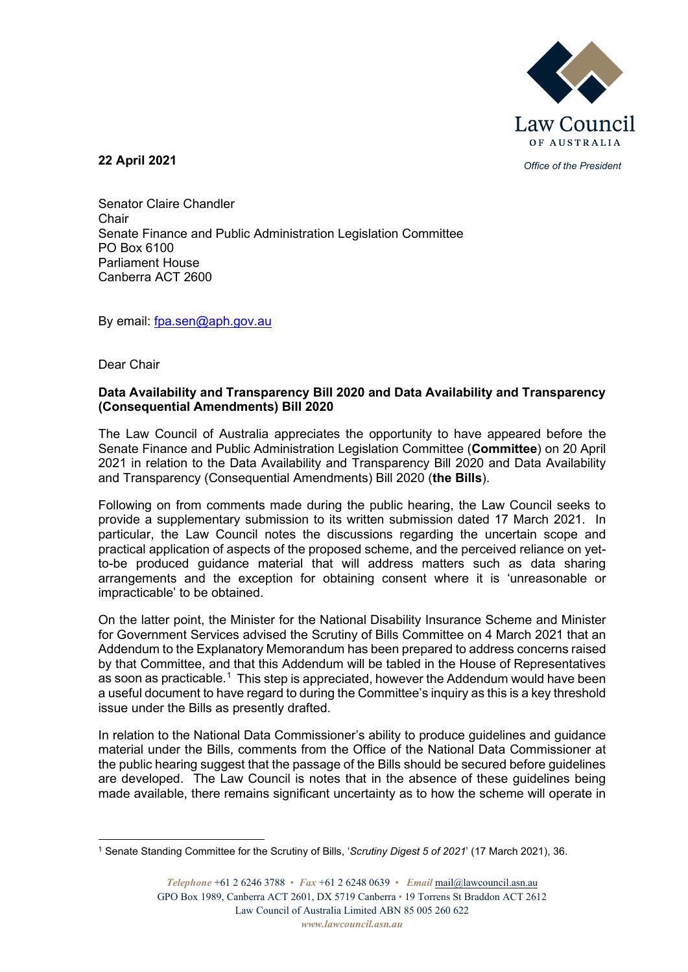

*Office of the President* **22 April 2021**

Senator Claire Chandler Chair Senate Finance and Public Administration Legislation Committee PO Box 6100 Parliament House Canberra ACT 2600

By email: [fpa.sen@aph.gov.au](mailto:fpa.sen@aph.gov.au)

Dear Chair

## **Data Availability and Transparency Bill 2020 and Data Availability and Transparency (Consequential Amendments) Bill 2020**

The Law Council of Australia appreciates the opportunity to have appeared before the Senate Finance and Public Administration Legislation Committee (**Committee**) on 20 April 2021 in relation to the Data Availability and Transparency Bill 2020 and Data Availability and Transparency (Consequential Amendments) Bill 2020 (**the Bills**).

Following on from comments made during the public hearing, the Law Council seeks to provide a supplementary submission to its written submission dated 17 March 2021. In particular, the Law Council notes the discussions regarding the uncertain scope and practical application of aspects of the proposed scheme, and the perceived reliance on yetto-be produced guidance material that will address matters such as data sharing arrangements and the exception for obtaining consent where it is 'unreasonable or impracticable' to be obtained.

On the latter point, the Minister for the National Disability Insurance Scheme and Minister for Government Services advised the Scrutiny of Bills Committee on 4 March 2021 that an Addendum to the Explanatory Memorandum has been prepared to address concerns raised by that Committee, and that this Addendum will be tabled in the House of Representatives as soon as practicable.<sup>[1](#page-0-0)</sup> This step is appreciated, however the Addendum would have been a useful document to have regard to during the Committee's inquiry as this is a key threshold issue under the Bills as presently drafted.

In relation to the National Data Commissioner's ability to produce guidelines and guidance material under the Bills, comments from the Office of the National Data Commissioner at the public hearing suggest that the passage of the Bills should be secured before guidelines are developed. The Law Council is notes that in the absence of these guidelines being made available, there remains significant uncertainty as to how the scheme will operate in

<span id="page-0-0"></span><sup>1</sup> Senate Standing Committee for the Scrutiny of Bills, '*Scrutiny Digest 5 of 2021*' (17 March 2021), 36.